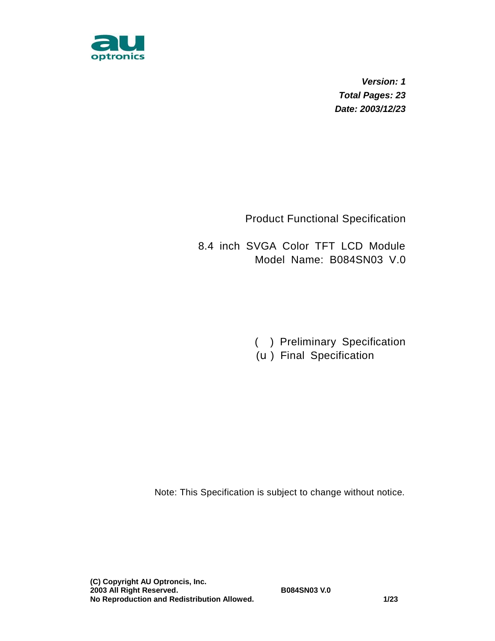

*Version: 1 Total Pages: 23 Date: 2003/12/23* 

Product Functional Specification

8.4 inch SVGA Color TFT LCD Module Model Name: B084SN03 V.0

( ) Preliminary Specification

(u) Final Specification

Note: This Specification is subject to change without notice.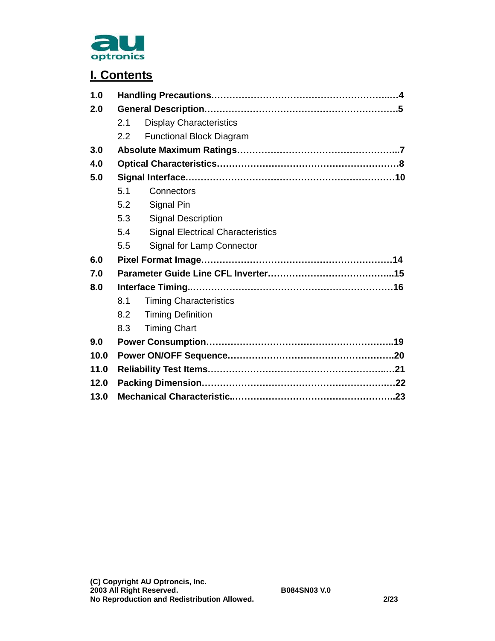

## **I. Contents**

| 1.0  |     |                                          |  |  |  |  |  |  |  |  |
|------|-----|------------------------------------------|--|--|--|--|--|--|--|--|
| 2.0  |     |                                          |  |  |  |  |  |  |  |  |
|      | 2.1 | <b>Display Characteristics</b>           |  |  |  |  |  |  |  |  |
|      | 2.2 | <b>Functional Block Diagram</b>          |  |  |  |  |  |  |  |  |
| 3.0  |     |                                          |  |  |  |  |  |  |  |  |
| 4.0  |     |                                          |  |  |  |  |  |  |  |  |
| 5.0  |     |                                          |  |  |  |  |  |  |  |  |
|      | 5.1 | Connectors                               |  |  |  |  |  |  |  |  |
|      | 5.2 | Signal Pin                               |  |  |  |  |  |  |  |  |
|      | 5.3 | <b>Signal Description</b>                |  |  |  |  |  |  |  |  |
|      | 5.4 | <b>Signal Electrical Characteristics</b> |  |  |  |  |  |  |  |  |
|      | 5.5 | Signal for Lamp Connector                |  |  |  |  |  |  |  |  |
| 6.0  |     |                                          |  |  |  |  |  |  |  |  |
| 7.0  |     |                                          |  |  |  |  |  |  |  |  |
| 8.0  |     |                                          |  |  |  |  |  |  |  |  |
|      | 8.1 | <b>Timing Characteristics</b>            |  |  |  |  |  |  |  |  |
|      | 8.2 | <b>Timing Definition</b>                 |  |  |  |  |  |  |  |  |
|      | 8.3 | <b>Timing Chart</b>                      |  |  |  |  |  |  |  |  |
| 9.0  |     |                                          |  |  |  |  |  |  |  |  |
| 10.0 |     |                                          |  |  |  |  |  |  |  |  |
| 11.0 |     |                                          |  |  |  |  |  |  |  |  |
| 12.0 |     |                                          |  |  |  |  |  |  |  |  |
| 13.0 |     |                                          |  |  |  |  |  |  |  |  |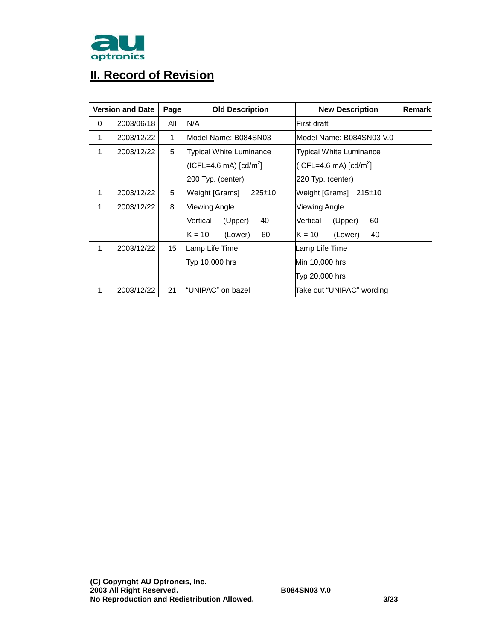

# **II. Record of Revision**

|   | <b>Version and Date</b> | Page | <b>Old Description</b>    | <b>New Description</b>         | Remark |
|---|-------------------------|------|---------------------------|--------------------------------|--------|
| 0 | 2003/06/18              | All  | N/A                       | First draft                    |        |
| 1 | 2003/12/22              | 1    | Model Name: B084SN03      | Model Name: B084SN03 V.0       |        |
| 1 | 2003/12/22              | 5    | Typical White Luminance   | <b>Typical White Luminance</b> |        |
|   |                         |      | $(ICFL=4.6 mA) [cd/m2]$   | $(ICFL=4.6 mA) [cd/m2]$        |        |
|   |                         |      | 200 Typ. (center)         | 220 Typ. (center)              |        |
| 1 | 2003/12/22              | 5    | Weight [Grams]<br>225±10  | Weight [Grams] $215±10$        |        |
| 1 | 2003/12/22              | 8    | Viewing Angle             | Viewing Angle                  |        |
|   |                         |      | Vertical<br>(Upper)<br>40 | (Upper)<br>Vertical<br>60      |        |
|   |                         |      | 60<br>$K = 10$<br>(Lower) | $K = 10$<br>(Lower)<br>40      |        |
| 1 | 2003/12/22              | 15   | Lamp Life Time            | Lamp Life Time                 |        |
|   |                         |      | Typ 10,000 hrs            | Min 10,000 hrs                 |        |
|   |                         |      |                           | Typ 20,000 hrs                 |        |
| 1 | 2003/12/22              | 21   | "UNIPAC" on bazel         | Take out "UNIPAC" wording      |        |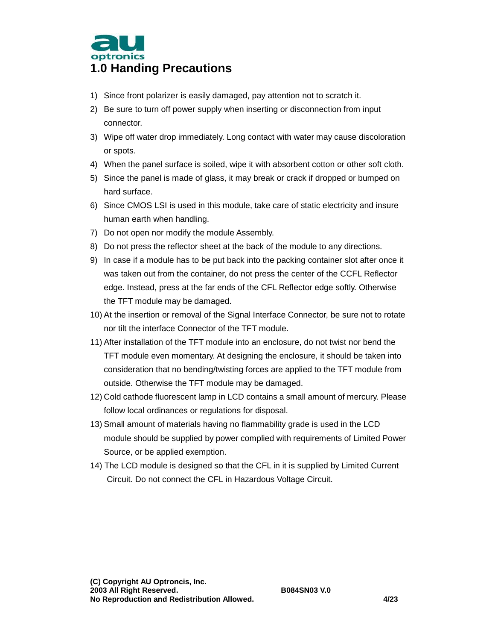

- 1) Since front polarizer is easily damaged, pay attention not to scratch it.
- 2) Be sure to turn off power supply when inserting or disconnection from input connector.
- 3) Wipe off water drop immediately. Long contact with water may cause discoloration or spots.
- 4) When the panel surface is soiled, wipe it with absorbent cotton or other soft cloth.
- 5) Since the panel is made of glass, it may break or crack if dropped or bumped on hard surface.
- 6) Since CMOS LSI is used in this module, take care of static electricity and insure human earth when handling.
- 7) Do not open nor modify the module Assembly.
- 8) Do not press the reflector sheet at the back of the module to any directions.
- 9) In case if a module has to be put back into the packing container slot after once it was taken out from the container, do not press the center of the CCFL Reflector edge. Instead, press at the far ends of the CFL Reflector edge softly. Otherwise the TFT module may be damaged.
- 10) At the insertion or removal of the Signal Interface Connector, be sure not to rotate nor tilt the interface Connector of the TFT module.
- 11) After installation of the TFT module into an enclosure, do not twist nor bend the TFT module even momentary. At designing the enclosure, it should be taken into consideration that no bending/twisting forces are applied to the TFT module from outside. Otherwise the TFT module may be damaged.
- 12) Cold cathode fluorescent lamp in LCD contains a small amount of mercury. Please follow local ordinances or regulations for disposal.
- 13) Small amount of materials having no flammability grade is used in the LCD module should be supplied by power complied with requirements of Limited Power Source, or be applied exemption.
- 14) The LCD module is designed so that the CFL in it is supplied by Limited Current Circuit. Do not connect the CFL in Hazardous Voltage Circuit.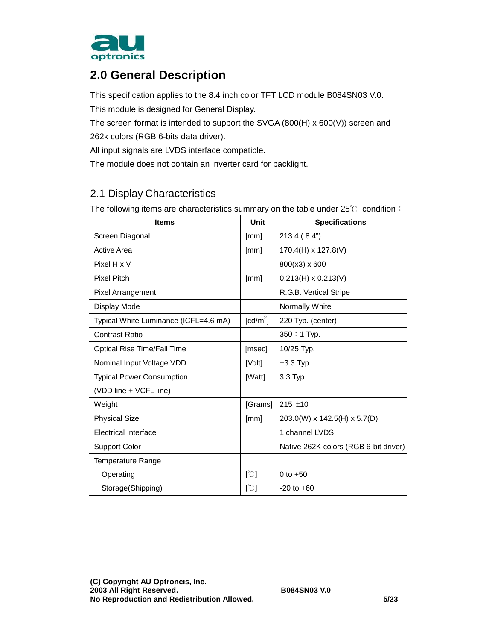

## **2.0 General Description**

This specification applies to the 8.4 inch color TFT LCD module B084SN03 V.0.

This module is designed for General Display.

The screen format is intended to support the SVGA (800(H) x 600(V)) screen and 262k colors (RGB 6-bits data driver).

All input signals are LVDS interface compatible.

The module does not contain an inverter card for backlight.

#### 2.1 Display Characteristics

The following items are characteristics summary on the table under 25℃ condition:

| <b>Items</b>                          | <b>Unit</b>            | <b>Specifications</b>                 |
|---------------------------------------|------------------------|---------------------------------------|
| Screen Diagonal                       | [mm]                   | 213.4(8.4")                           |
| <b>Active Area</b>                    | [mm]                   | 170.4(H) x 127.8(V)                   |
| Pixel H x V                           |                        | 800(x3) x 600                         |
| <b>Pixel Pitch</b>                    | [mm]                   | $0.213(H) \times 0.213(V)$            |
| <b>Pixel Arrangement</b>              |                        | R.G.B. Vertical Stripe                |
| Display Mode                          |                        | Normally White                        |
| Typical White Luminance (ICFL=4.6 mA) | $\lceil cd/m^2 \rceil$ | 220 Typ. (center)                     |
| <b>Contrast Ratio</b>                 |                        | 350: 1 Typ.                           |
| <b>Optical Rise Time/Fall Time</b>    | [msec]                 | 10/25 Typ.                            |
| Nominal Input Voltage VDD             | [Volt]                 | $+3.3$ Typ.                           |
| <b>Typical Power Consumption</b>      | [Watt]                 | $3.3$ Typ                             |
| (VDD line + VCFL line)                |                        |                                       |
| Weight                                | [Grams]                | $215 \pm 10$                          |
| <b>Physical Size</b>                  | [mm]                   | 203.0(W) x 142.5(H) x 5.7(D)          |
| <b>Electrical Interface</b>           |                        | 1 channel LVDS                        |
| Support Color                         |                        | Native 262K colors (RGB 6-bit driver) |
| <b>Temperature Range</b>              |                        |                                       |
| Operating                             | [°C]                   | 0 to $+50$                            |
| Storage (Shipping)                    | $\sqrt{C}$             | $-20$ to $+60$                        |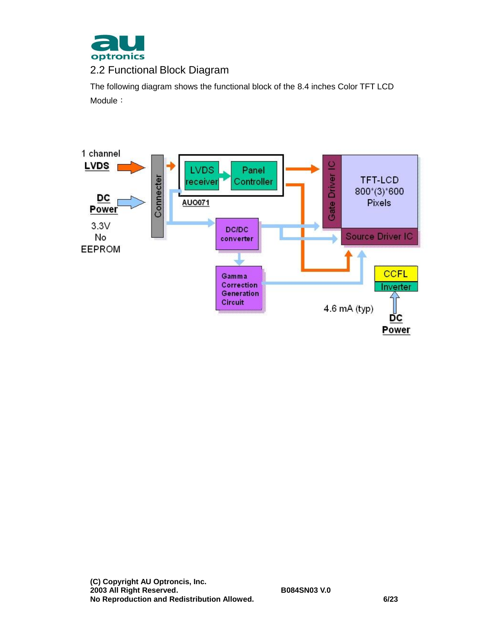

### 2.2 Functional Block Diagram

The following diagram shows the functional block of the 8.4 inches Color TFT LCD Module:

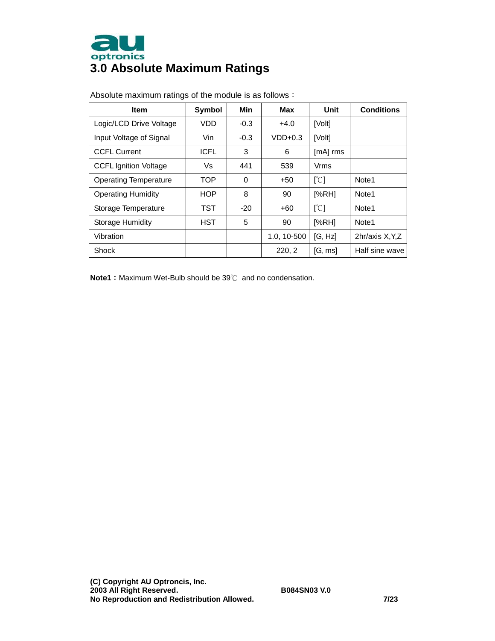

| <b>Item</b>                  | Symbol      | Min      | Max         | Unit                      | <b>Conditions</b> |  |
|------------------------------|-------------|----------|-------------|---------------------------|-------------------|--|
| Logic/LCD Drive Voltage      | VDD         | $-0.3$   | $+4.0$      | [Volt]                    |                   |  |
| Input Voltage of Signal      | Vin         | $-0.3$   | $VDD+0.3$   | [Volt]                    |                   |  |
| <b>CCFL Current</b>          | <b>ICFL</b> | 3        | 6           | $[mA]$ rms                |                   |  |
| <b>CCFL Ignition Voltage</b> | Vs          | 441      | 539         | Vrms                      |                   |  |
| <b>Operating Temperature</b> | <b>TOP</b>  | $\Omega$ | $+50$       | $\lceil \text{C} \rceil$  | Note <sub>1</sub> |  |
| <b>Operating Humidity</b>    | <b>HOP</b>  | 8        | 90          | [%RH]                     | Note1             |  |
| Storage Temperature          | <b>TST</b>  | $-20$    | $+60$       | $\lceil \text{°C} \rceil$ | Note <sub>1</sub> |  |
| Storage Humidity             | <b>HST</b>  | 5        | 90          | [%RH]                     | Note1             |  |
| Vibration                    |             |          | 1.0, 10-500 | [G, Hz]                   | 2hr/axis X, Y, Z  |  |
| Shock                        |             |          | 220, 2      | [G, ms]                   | Half sine wave    |  |

Absolute maximum ratings of the module is as follows:

**Note1**: Maximum Wet-Bulb should be 39℃ and no condensation.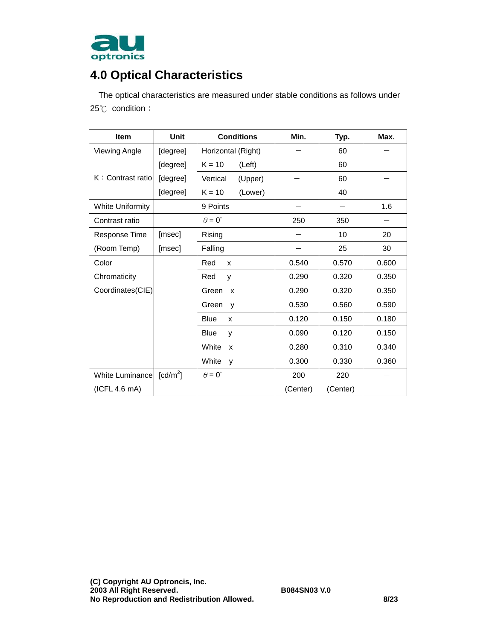

# **4.0 Optical Characteristics**

The optical characteristics are measured under stable conditions as follows under 25℃ condition:

| <b>Item</b>             | <b>Unit</b>            | <b>Conditions</b>    | Min.     | Typ.     | Max.  |
|-------------------------|------------------------|----------------------|----------|----------|-------|
| <b>Viewing Angle</b>    | [degree]               | Horizontal (Right)   |          | 60       |       |
|                         | [degree]               | $K = 10$<br>(Left)   |          | 60       |       |
| K: Contrast ratio       | [degree]               | Vertical<br>(Upper)  |          | 60       |       |
|                         | [degree]               | $K = 10$<br>(Lower)  |          | 40       |       |
| <b>White Uniformity</b> |                        | 9 Points             |          |          | 1.6   |
| Contrast ratio          |                        | $\theta = 0^{\circ}$ | 250      | 350      |       |
| Response Time           | [msec]                 | Rising               |          | 10       | 20    |
| (Room Temp)             | [msec]                 | Falling              |          | 25       | 30    |
| Color                   |                        | Red<br>X             | 0.540    | 0.570    | 0.600 |
| Chromaticity            |                        | Red<br>y             | 0.290    | 0.320    | 0.350 |
| Coordinates(CIE)        |                        | Green<br>X           | 0.290    | 0.320    | 0.350 |
|                         |                        | Green<br>y           | 0.530    | 0.560    | 0.590 |
|                         |                        | <b>Blue</b><br>X     | 0.120    | 0.150    | 0.180 |
|                         |                        | Blue<br>y            | 0.090    | 0.120    | 0.150 |
|                         |                        | White<br>X           | 0.280    | 0.310    | 0.340 |
|                         |                        | White<br>y           | 0.300    | 0.330    | 0.360 |
| White Luminance         | $\lceil cd/m^2 \rceil$ | $\theta = 0^{\circ}$ | 200      | 220      |       |
| (ICFL 4.6 mA)           |                        |                      | (Center) | (Center) |       |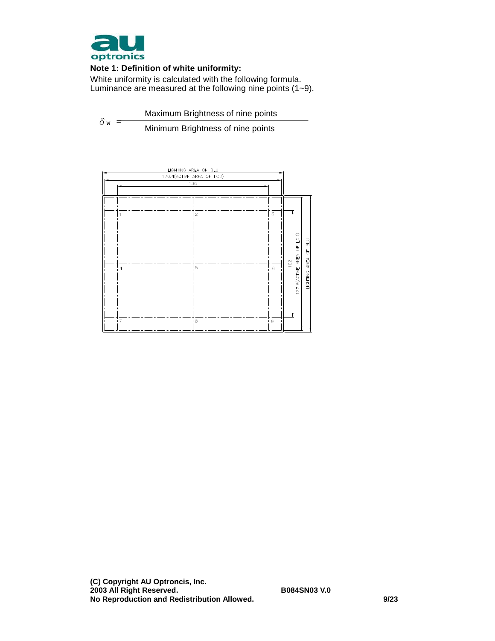

#### **Note 1: Definition of white uniformity:**

White uniformity is calculated with the following formula. Luminance are measured at the following nine points (1~9).

 $\delta$ <sub>W</sub> = Maximum Brightness of nine points Minimum Brightness of nine points

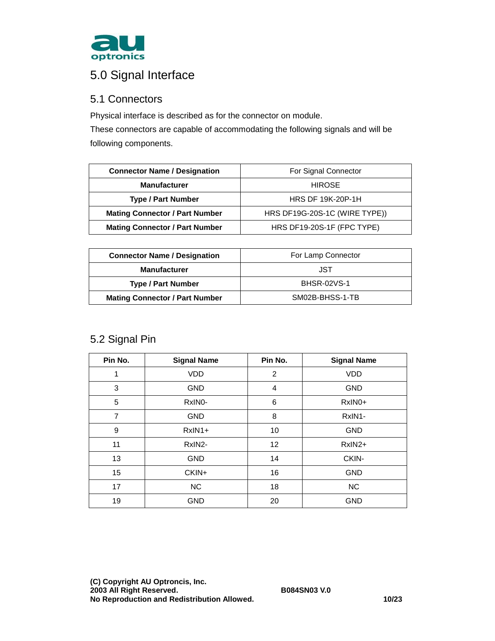

# 5.0 Signal Interface

#### 5.1 Connectors

Physical interface is described as for the connector on module.

These connectors are capable of accommodating the following signals and will be following components.

| <b>Connector Name / Designation</b>   | For Signal Connector          |
|---------------------------------------|-------------------------------|
| <b>Manufacturer</b>                   | <b>HIROSE</b>                 |
| <b>Type / Part Number</b>             | <b>HRS DF 19K-20P-1H</b>      |
| <b>Mating Connector / Part Number</b> | HRS DF19G-20S-1C (WIRE TYPE)) |
| <b>Mating Connector / Part Number</b> | HRS DF19-20S-1F (FPC TYPE)    |

| <b>Connector Name / Designation</b>   | For Lamp Connector |
|---------------------------------------|--------------------|
| <b>Manufacturer</b>                   | JST                |
| <b>Type / Part Number</b>             | <b>BHSR-02VS-1</b> |
| <b>Mating Connector / Part Number</b> | SM02B-BHSS-1-TB    |

### 5.2 Signal Pin

| Pin No.        | <b>Signal Name</b> | Pin No.           | <b>Signal Name</b> |
|----------------|--------------------|-------------------|--------------------|
| 1              | <b>VDD</b>         | 2                 | <b>VDD</b>         |
| 3              | <b>GND</b>         | $\overline{4}$    | <b>GND</b>         |
| 5              | RxINO-             | 6                 | RxIN0+             |
| $\overline{7}$ | <b>GND</b>         | 8                 | RxIN1-             |
| 9              | $RxIN1+$           | 10                | <b>GND</b>         |
| 11             | RxIN2-             | $12 \overline{ }$ | RxIN2+             |
| 13             | <b>GND</b>         | 14                | CKIN-              |
| 15             | CKIN+              | 16                | <b>GND</b>         |
| 17             | <b>NC</b>          | 18                | <b>NC</b>          |
| 19             | <b>GND</b>         | 20                | <b>GND</b>         |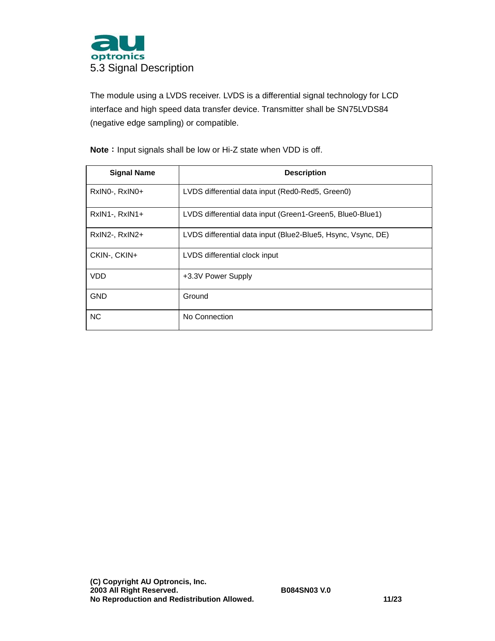

The module using a LVDS receiver. LVDS is a differential signal technology for LCD interface and high speed data transfer device. Transmitter shall be SN75LVDS84 (negative edge sampling) or compatible.

**Signal Name Description**  RxIN0-, RxIN0+ LVDS differential data input (Red0-Red5, Green0) RxIN1-, RxIN1+ **LVDS** differential data input (Green1-Green5, Blue0-Blue1) RxIN2-, RxIN2+ LVDS differential data input (Blue2-Blue5, Hsync, Vsync, DE) CKIN-, CKIN+ LVDS differential clock input VDD +3.3V Power Supply GND Ground NC No Connection

**Note**: Input signals shall be low or Hi-Z state when VDD is off.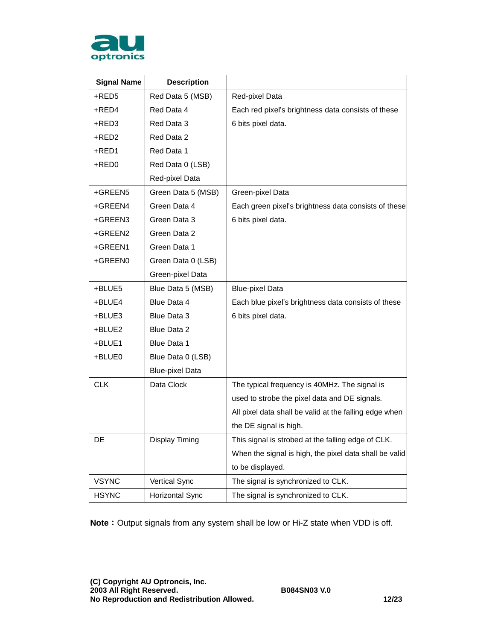

| <b>Signal Name</b> | <b>Description</b>     |                                                        |
|--------------------|------------------------|--------------------------------------------------------|
| +RED5              | Red Data 5 (MSB)       | Red-pixel Data                                         |
| +RED4              | Red Data 4             | Each red pixel's brightness data consists of these     |
| $+$ RED3           | Red Data 3             | 6 bits pixel data.                                     |
| +RED2              | Red Data 2             |                                                        |
| +RED1              | Red Data 1             |                                                        |
| +RED0              | Red Data 0 (LSB)       |                                                        |
|                    | Red-pixel Data         |                                                        |
| +GREEN5            | Green Data 5 (MSB)     | Green-pixel Data                                       |
| +GREEN4            | Green Data 4           | Each green pixel's brightness data consists of these   |
| +GREEN3            | Green Data 3           | 6 bits pixel data.                                     |
| +GREEN2            | Green Data 2           |                                                        |
| +GREEN1            | Green Data 1           |                                                        |
| +GREEN0            | Green Data 0 (LSB)     |                                                        |
|                    | Green-pixel Data       |                                                        |
| +BLUE5             | Blue Data 5 (MSB)      | <b>Blue-pixel Data</b>                                 |
| +BLUE4             | Blue Data 4            | Each blue pixel's brightness data consists of these    |
| +BLUE3             | Blue Data 3            | 6 bits pixel data.                                     |
| +BLUE2             | Blue Data 2            |                                                        |
| +BLUE1             | Blue Data 1            |                                                        |
| +BLUE0             | Blue Data 0 (LSB)      |                                                        |
|                    | <b>Blue-pixel Data</b> |                                                        |
| <b>CLK</b>         | Data Clock             | The typical frequency is 40MHz. The signal is          |
|                    |                        | used to strobe the pixel data and DE signals.          |
|                    |                        | All pixel data shall be valid at the falling edge when |
|                    |                        | the DE signal is high.                                 |
| DE                 | <b>Display Timing</b>  | This signal is strobed at the falling edge of CLK.     |
|                    |                        | When the signal is high, the pixel data shall be valid |
|                    |                        | to be displayed.                                       |
| <b>VSYNC</b>       | Vertical Sync          | The signal is synchronized to CLK.                     |
| <b>HSYNC</b>       | <b>Horizontal Sync</b> | The signal is synchronized to CLK.                     |

**Note**: Output signals from any system shall be low or Hi-Z state when VDD is off.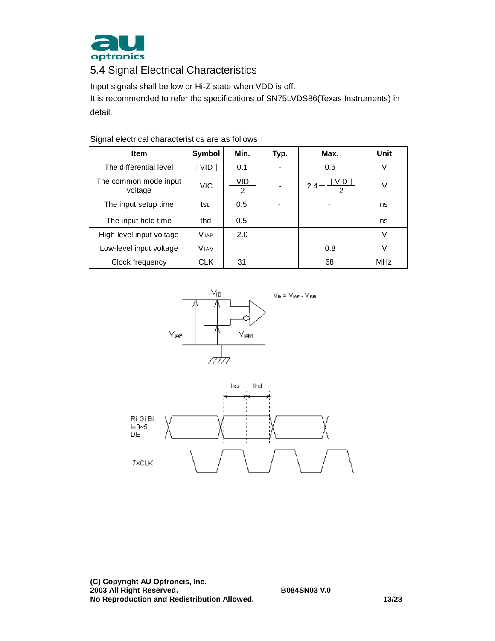

## 5.4 Signal Electrical Characteristics

Input signals shall be low or Hi-Z state when VDD is off.

It is recommended to refer the specifications of SN75LVDS86(Texas Instruments) in detail.

| <b>Item</b>                      | Symbol      | Min.                   | Typ. | Max.        | Unit       |
|----------------------------------|-------------|------------------------|------|-------------|------------|
| The differential level           | VID         | 0.1                    |      | 0.6         | V          |
| The common mode input<br>voltage | VIC         | VID.<br>$\overline{2}$ |      | VID.<br>2.4 | V          |
| The input setup time             | tsu         | 0.5                    |      |             | ns         |
| The input hold time              | thd         | 0.5                    |      |             | ns         |
| High-level input voltage         | <b>VIAP</b> | 2.0                    |      |             | V          |
| Low-level input voltage          | <b>VIAM</b> |                        |      | 0.8         | V          |
| Clock frequency                  | <b>CLK</b>  | 31                     |      | 68          | <b>MHz</b> |

Signal electrical characteristics are as follows:



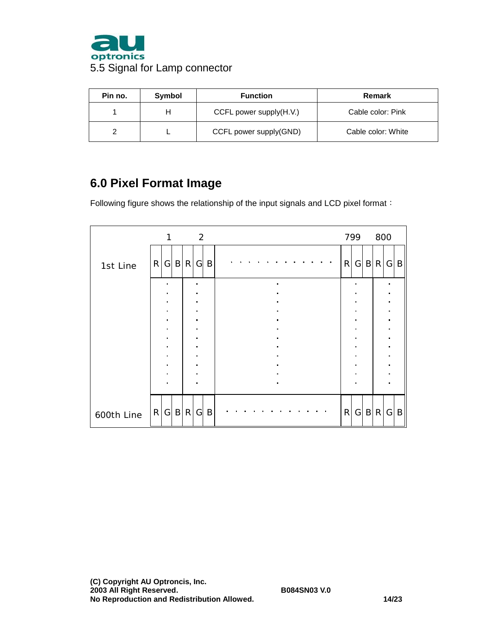

| Pin no. | Symbol | <b>Function</b>         | Remark             |
|---------|--------|-------------------------|--------------------|
|         | н      | CCFL power supply(H.V.) | Cable color: Pink  |
|         |        | CCFL power supply(GND)  | Cable color: White |

## **6.0 Pixel Format Image**

Following figure shows the relationship of the input signals and LCD pixel format:

|            |                | 1              |                             |                                  | $\overline{2}$              |                |                |  |  |  |  |                     |  |  |                |   | 799 800        |  |           |  |     |
|------------|----------------|----------------|-----------------------------|----------------------------------|-----------------------------|----------------|----------------|--|--|--|--|---------------------|--|--|----------------|---|----------------|--|-----------|--|-----|
| 1st Line   |                |                | R G B R                     |                                  | $\mathsf{G}$                | B              |                |  |  |  |  |                     |  |  |                | R |                |  | G B R G B |  |     |
|            |                |                |                             |                                  | $\blacksquare$              |                |                |  |  |  |  | $\blacksquare$      |  |  |                |   |                |  |           |  |     |
|            |                | $\blacksquare$ |                             |                                  | $\blacksquare$<br>$\bullet$ |                |                |  |  |  |  | $\blacksquare$      |  |  |                |   | $\blacksquare$ |  |           |  |     |
|            |                |                |                             | $\blacksquare$                   |                             |                |                |  |  |  |  |                     |  |  |                |   |                |  |           |  |     |
|            | $\blacksquare$ |                | $\blacksquare$              |                                  |                             | $\blacksquare$ |                |  |  |  |  | $\blacksquare$<br>× |  |  | $\blacksquare$ |   |                |  |           |  |     |
|            | $\blacksquare$ |                | $\bullet$<br>$\blacksquare$ |                                  |                             |                | $\blacksquare$ |  |  |  |  |                     |  |  |                |   |                |  |           |  |     |
|            |                |                |                             | $\blacksquare$                   |                             |                |                |  |  |  |  |                     |  |  |                |   |                |  |           |  |     |
|            |                |                |                             | $\blacksquare$                   |                             |                |                |  |  |  |  |                     |  |  |                |   |                |  |           |  |     |
|            |                |                |                             | $\blacksquare$<br>$\blacksquare$ |                             |                | $\blacksquare$ |  |  |  |  |                     |  |  |                |   |                |  |           |  |     |
|            |                |                | $\blacksquare$              |                                  | $\blacksquare$              |                |                |  |  |  |  |                     |  |  |                |   |                |  |           |  |     |
|            |                |                |                             |                                  |                             |                |                |  |  |  |  |                     |  |  |                |   |                |  |           |  |     |
| 600th Line |                |                | R G B R                     |                                  | $\mathsf{G}$                | B              |                |  |  |  |  |                     |  |  |                | R |                |  | G B R     |  | G B |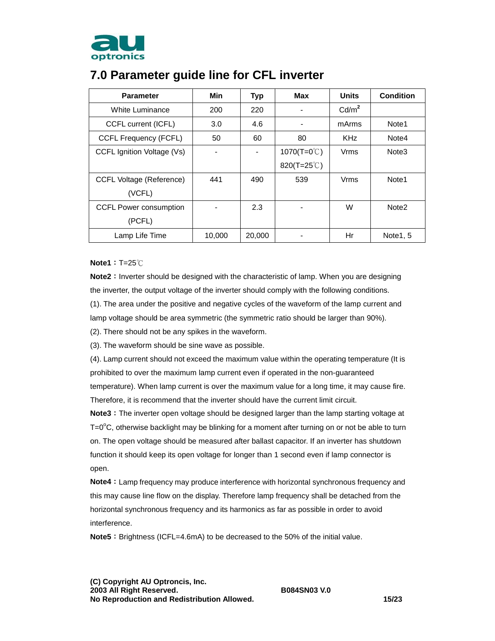

| <b>Parameter</b>                | Min    | <b>Typ</b> | Max                   | <b>Units</b>      | <b>Condition</b>  |
|---------------------------------|--------|------------|-----------------------|-------------------|-------------------|
| White Luminance                 | 200    | 220        |                       | Cd/m <sup>2</sup> |                   |
| CCFL current (ICFL)             | 3.0    | 4.6        |                       | mArms             | Note1             |
| CCFL Frequency (FCFL)           | 50     | 60         | 80                    | <b>KHz</b>        | Note4             |
| CCFL Ignition Voltage (Vs)      |        |            | 1070(T=0 $\degree$ C) | Vrms              | Note <sub>3</sub> |
|                                 |        |            | 820(T=25 $\degree$ C) |                   |                   |
| <b>CCFL Voltage (Reference)</b> | 441    | 490        | 539                   | Vrms              | Note <sub>1</sub> |
| (VCFL)                          |        |            |                       |                   |                   |
| <b>CCFL Power consumption</b>   |        | 2.3        |                       | W                 | Note <sub>2</sub> |
| (PCFL)                          |        |            |                       |                   |                   |
| Lamp Life Time                  | 10.000 | 20,000     |                       | Hr                | Note 1, 5         |

## **7.0 Parameter guide line for CFL inverter**

**Note1**:T=25℃

**Note2**: Inverter should be designed with the characteristic of lamp. When you are designing the inverter, the output voltage of the inverter should comply with the following conditions.

(1). The area under the positive and negative cycles of the waveform of the lamp current and

lamp voltage should be area symmetric (the symmetric ratio should be larger than 90%).

(2). There should not be any spikes in the waveform.

(3). The waveform should be sine wave as possible.

(4). Lamp current should not exceed the maximum value within the operating temperature (It is prohibited to over the maximum lamp current even if operated in the non-guaranteed temperature). When lamp current is over the maximum value for a long time, it may cause fire. Therefore, it is recommend that the inverter should have the current limit circuit.

**Note3**: The inverter open voltage should be designed larger than the lamp starting voltage at  $T=0^{\circ}$ C, otherwise backlight may be blinking for a moment after turning on or not be able to turn on. The open voltage should be measured after ballast capacitor. If an inverter has shutdown function it should keep its open voltage for longer than 1 second even if lamp connector is open.

**Note4**: Lamp frequency may produce interference with horizontal synchronous frequency and this may cause line flow on the display. Therefore lamp frequency shall be detached from the horizontal synchronous frequency and its harmonics as far as possible in order to avoid interference.

Note5: Brightness (ICFL=4.6mA) to be decreased to the 50% of the initial value.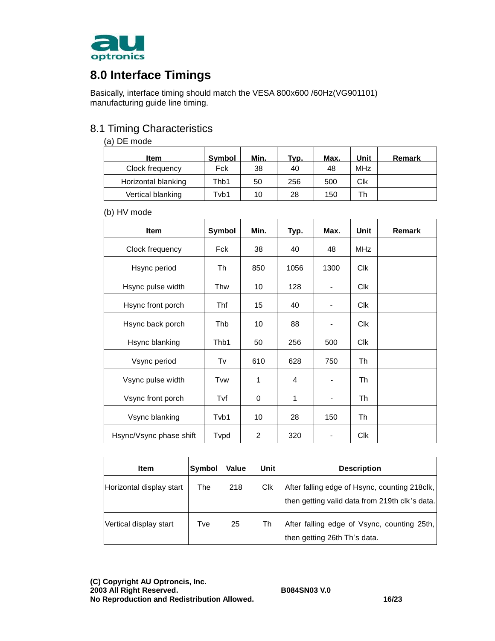

# **8.0 Interface Timings**

Basically, interface timing should match the VESA 800x600 /60Hz(VG901101) manufacturing guide line timing.

### 8.1 Timing Characteristics

#### (a) DE mode

| ltem                | <b>Symbol</b> | Min. | Tvp. | Max. | Unit                  | Remark |
|---------------------|---------------|------|------|------|-----------------------|--------|
| Clock frequency     | Fck           | 38   | 40   | 48   | <b>MH<sub>z</sub></b> |        |
| Horizontal blanking | Thb1          | 50   | 256  | 500  | Clk                   |        |
| Vertical blanking   | Tvb1          | 10   | 28   | 150  | Th                    |        |

(b) HV mode

| <b>Item</b>             | Symbol     | Min. | Typ. | Max.           | Unit       | <b>Remark</b> |
|-------------------------|------------|------|------|----------------|------------|---------------|
| Clock frequency         | <b>Fck</b> | 38   | 40   | 48             | <b>MHz</b> |               |
| Hsync period            | Th         | 850  | 1056 | 1300           | Clk        |               |
| Hsync pulse width       | Thw        | 10   | 128  |                | <b>Clk</b> |               |
| Hsync front porch       | Thf        | 15   | 40   |                | <b>CIK</b> |               |
| Hsync back porch        | Thb        | 10   | 88   |                | <b>CIK</b> |               |
| Hsync blanking          | Thb1       | 50   | 256  | 500            | <b>CIK</b> |               |
| Vsync period            | Tv         | 610  | 628  | 750            | Th         |               |
| Vsync pulse width       | Tvw        | 1    | 4    |                | Th         |               |
| Vsync front porch       | Tvf        | 0    | 1    | $\overline{a}$ | Th         |               |
| Vsync blanking          | Tvb1       | 10   | 28   | 150            | Th         |               |
| Hsync/Vsync phase shift | Tvpd       | 2    | 320  |                | <b>Clk</b> |               |

| <b>Item</b>              | Symbol | <b>Value</b> | Unit | <b>Description</b>                                                                              |
|--------------------------|--------|--------------|------|-------------------------------------------------------------------------------------------------|
| Horizontal display start | The    | 218          | Clk  | After falling edge of Hsync, counting 218clk,<br>then getting valid data from 219th clk's data. |
| Vertical display start   | Tve    | 25           | Th   | After falling edge of Vsync, counting 25th,<br>then getting 26th Th's data.                     |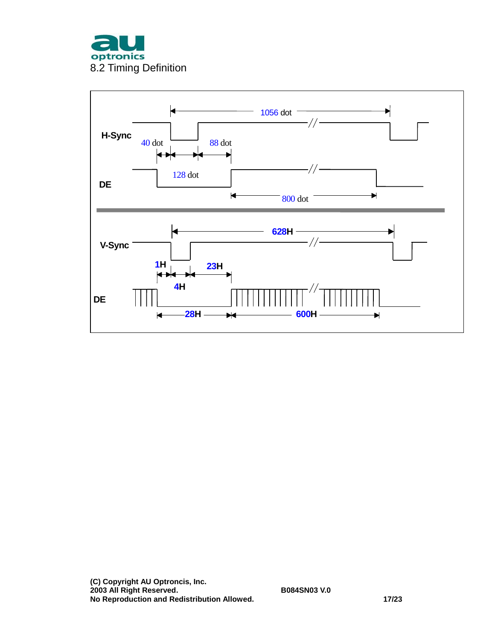

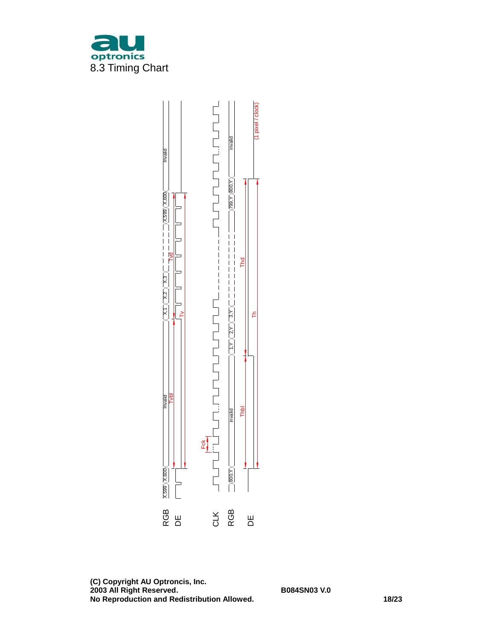

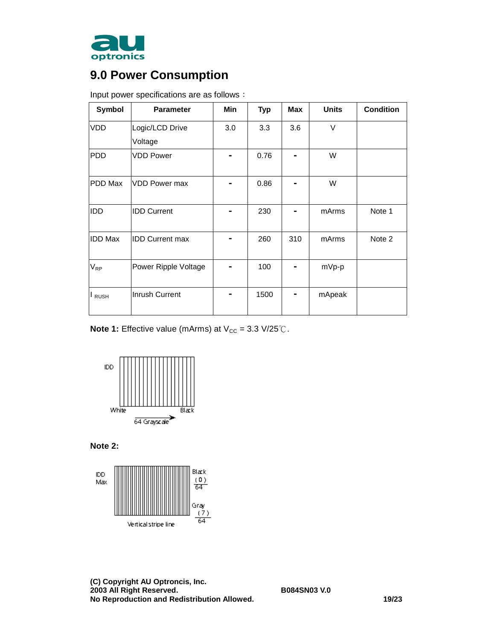

# **9.0 Power Consumption**

| Symbol         | <b>Parameter</b>       | Min | <b>Typ</b> | <b>Max</b> | <b>Units</b> | <b>Condition</b> |
|----------------|------------------------|-----|------------|------------|--------------|------------------|
| <b>VDD</b>     | Logic/LCD Drive        | 3.0 | 3.3        | 3.6        | V            |                  |
|                | Voltage                |     |            |            |              |                  |
| PDD            | <b>VDD Power</b>       |     | 0.76       |            | W            |                  |
| PDD Max        | <b>VDD Power max</b>   |     | 0.86       |            | W            |                  |
| IDD            | <b>IDD Current</b>     |     | 230        |            | mArms        | Note 1           |
| <b>IDD Max</b> | <b>IDD Current max</b> |     | 260        | 310        | mArms        | Note 2           |
| $V_{RP}$       | Power Ripple Voltage   |     | 100        |            | mVp-p        |                  |
| I RUSH         | Inrush Current         |     | 1500       |            | mApeak       |                  |

Input power specifications are as follows:

**Note 1:** Effective value (mArms) at  $V_{CC} = 3.3 \text{ V}/25 \text{°C}$ .



**Note 2:** 

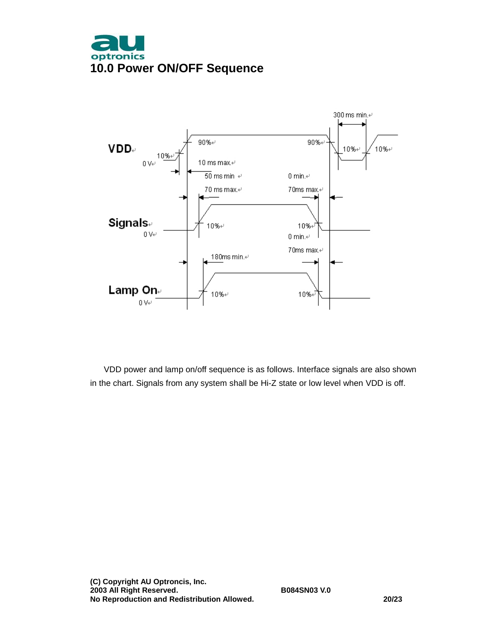



VDD power and lamp on/off sequence is as follows. Interface signals are also shown in the chart. Signals from any system shall be Hi-Z state or low level when VDD is off.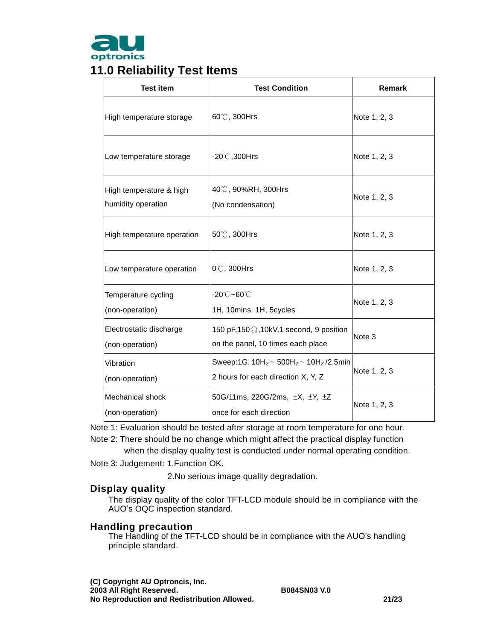

## **11.0 Reliability Test Items**

| <b>Test item</b>                              | <b>Test Condition</b>                                                                  | <b>Remark</b> |  |
|-----------------------------------------------|----------------------------------------------------------------------------------------|---------------|--|
| High temperature storage                      | 60℃, 300Hrs                                                                            | Note 1, 2, 3  |  |
| Low temperature storage                       | -20℃,300Hrs                                                                            | Note 1, 2, 3  |  |
| High temperature & high<br>humidity operation | 40℃, 90%RH, 300Hrs<br>(No condensation)                                                | Note 1, 2, 3  |  |
| High temperature operation                    | 50℃, 300Hrs                                                                            | Note 1, 2, 3  |  |
| Low temperature operation                     | $0^{\circ}$ C, 300Hrs                                                                  | Note 1, 2, 3  |  |
| Temperature cycling<br>(non-operation)        | -20℃~60℃<br>1H, 10mins, 1H, 5cycles                                                    | Note 1, 2, 3  |  |
| Electrostatic discharge<br>(non-operation)    | 150 pF, 150 $\Omega$ , 10kV, 1 second, 9 position<br>on the panel, 10 times each place | Note 3        |  |
| Vibration<br>(non-operation)                  | Sweep:1G, $10H_z \sim 500H_z \sim 10H_z/2.5$ min<br>2 hours for each direction X, Y, Z | Note 1, 2, 3  |  |
| Mechanical shock<br>(non-operation)           | 50G/11ms, 220G/2ms, ±X, ±Y, ±Z<br>once for each direction                              | Note 1, 2, 3  |  |

Note 1: Evaluation should be tested after storage at room temperature for one hour.

Note 2: There should be no change which might affect the practical display function

when the display quality test is conducted under normal operating condition.

Note 3: Judgement: 1.Function OK.

2.No serious image quality degradation.

#### **Display quality**

The display quality of the color TFT-LCD module should be in compliance with the AUO's OQC inspection standard.

#### **Handling precaution**

The Handling of the TFT-LCD should be in compliance with the AUO's handling principle standard.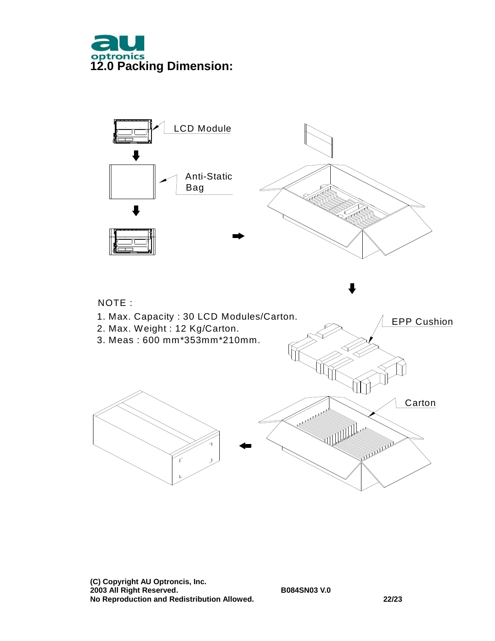